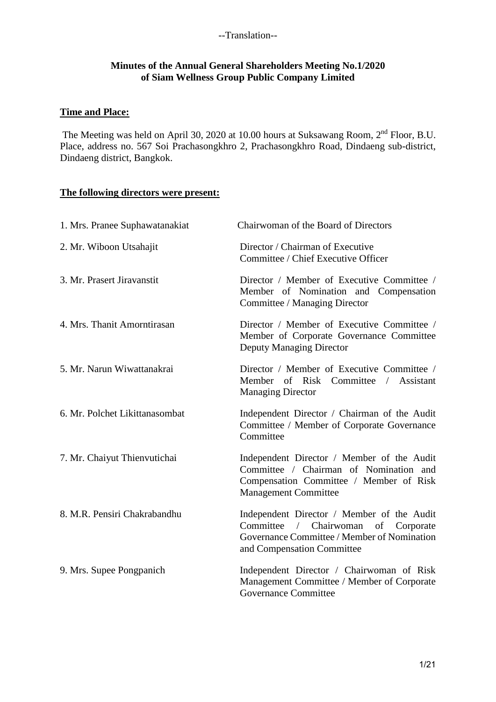#### **Minutes of the Annual General Shareholders Meeting No.1/2020 of Siam Wellness Group Public Company Limited**

#### **Time and Place:**

The Meeting was held on April 30, 2020 at 10.00 hours at Suksawang Room, 2<sup>nd</sup> Floor, B.U. Place, address no. 567 Soi Prachasongkhro 2, Prachasongkhro Road, Dindaeng sub-district, Dindaeng district, Bangkok.

# **The following directors were present:**

| 1. Mrs. Pranee Suphawatanakiat | Chairwoman of the Board of Directors                                                                                                                                                |
|--------------------------------|-------------------------------------------------------------------------------------------------------------------------------------------------------------------------------------|
| 2. Mr. Wiboon Utsahajit        | Director / Chairman of Executive<br>Committee / Chief Executive Officer                                                                                                             |
| 3. Mr. Prasert Jiravanstit     | Director / Member of Executive Committee /<br>Member of Nomination and Compensation<br>Committee / Managing Director                                                                |
| 4. Mrs. Thanit Amorntirasan    | Director / Member of Executive Committee /<br>Member of Corporate Governance Committee<br><b>Deputy Managing Director</b>                                                           |
| 5. Mr. Narun Wiwattanakrai     | Director / Member of Executive Committee /<br>Member of Risk Committee /<br>Assistant<br><b>Managing Director</b>                                                                   |
| 6. Mr. Polchet Likittanasombat | Independent Director / Chairman of the Audit<br>Committee / Member of Corporate Governance<br>Committee                                                                             |
| 7. Mr. Chaiyut Thienvutichai   | Independent Director / Member of the Audit<br>Committee / Chairman of Nomination and<br>Compensation Committee / Member of Risk<br><b>Management Committee</b>                      |
| 8. M.R. Pensiri Chakrabandhu   | Independent Director / Member of the Audit<br>Committee<br>$\sqrt{2}$<br>Chairwoman<br>of<br>Corporate<br>Governance Committee / Member of Nomination<br>and Compensation Committee |
| 9. Mrs. Supee Pongpanich       | Independent Director / Chairwoman of Risk<br>Management Committee / Member of Corporate<br><b>Governance Committee</b>                                                              |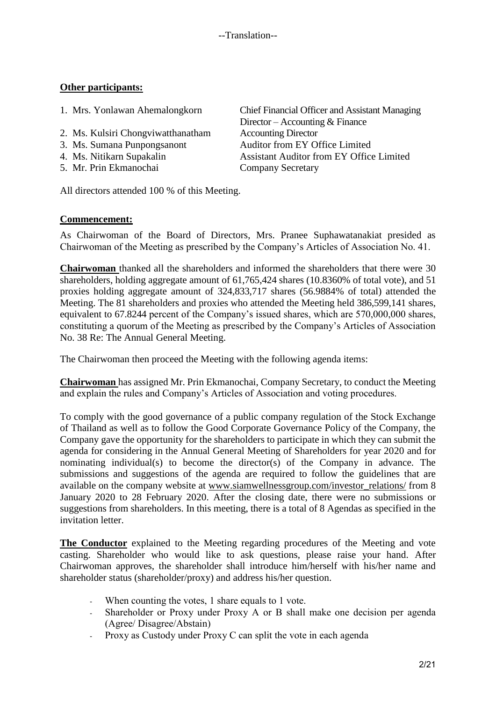### **Other participants:**

| 1. Mrs. Yonlawan Ahemalongkorn     | <b>Chief Financial Officer and Assistant Managing</b><br>Director – Accounting $& \text{Finance}$ |
|------------------------------------|---------------------------------------------------------------------------------------------------|
| 2. Ms. Kulsiri Chongviwatthanatham | <b>Accounting Director</b>                                                                        |
| 3. Ms. Sumana Punpongsanont        | Auditor from EY Office Limited                                                                    |
| 4. Ms. Nitikarn Supakalin          | <b>Assistant Auditor from EY Office Limited</b>                                                   |
| 5. Mr. Prin Ekmanochai             | <b>Company Secretary</b>                                                                          |
|                                    |                                                                                                   |

All directors attended 100 % of this Meeting.

#### **Commencement:**

As Chairwoman of the Board of Directors, Mrs. Pranee Suphawatanakiat presided as Chairwoman of the Meeting as prescribed by the Company's Articles of Association No. 41.

**Chairwoman** thanked all the shareholders and informed the shareholders that there were 30 shareholders, holding aggregate amount of 61,765,424 shares (10.8360% of total vote), and 51 proxies holding aggregate amount of 324,833,717 shares (56.9884% of total) attended the Meeting. The 81 shareholders and proxies who attended the Meeting held 386,599,141 shares, equivalent to 67.8244 percent of the Company's issued shares, which are 570,000,000 shares, constituting a quorum of the Meeting as prescribed by the Company's Articles of Association No. 38 Re: The Annual General Meeting.

The Chairwoman then proceed the Meeting with the following agenda items:

**Chairwoman** has assigned Mr. Prin Ekmanochai, Company Secretary, to conduct the Meeting and explain the rules and Company's Articles of Association and voting procedures.

To comply with the good governance of a public company regulation of the Stock Exchange of Thailand as well as to follow the Good Corporate Governance Policy of the Company, the Company gave the opportunity for the shareholders to participate in which they can submit the agenda for considering in the Annual General Meeting of Shareholders for year 2020 and for nominating individual(s) to become the director(s) of the Company in advance. The submissions and suggestions of the agenda are required to follow the guidelines that are available on the company website at [www.siamwellnessgroup.com/investor\\_relations/](http://www.siamwellnessgroup.com/investor_relations/) from 8 January 2020 to 28 February 2020. After the closing date, there were no submissions or suggestions from shareholders. In this meeting, there is a total of 8 Agendas as specified in the invitation letter

**The Conductor** explained to the Meeting regarding procedures of the Meeting and vote casting. Shareholder who would like to ask questions, please raise your hand. After Chairwoman approves, the shareholder shall introduce him/herself with his/her name and shareholder status (shareholder/proxy) and address his/her question.

- When counting the votes, 1 share equals to 1 vote.
- Shareholder or Proxy under Proxy A or B shall make one decision per agenda (Agree/ Disagree/Abstain)
- Proxy as Custody under Proxy C can split the vote in each agenda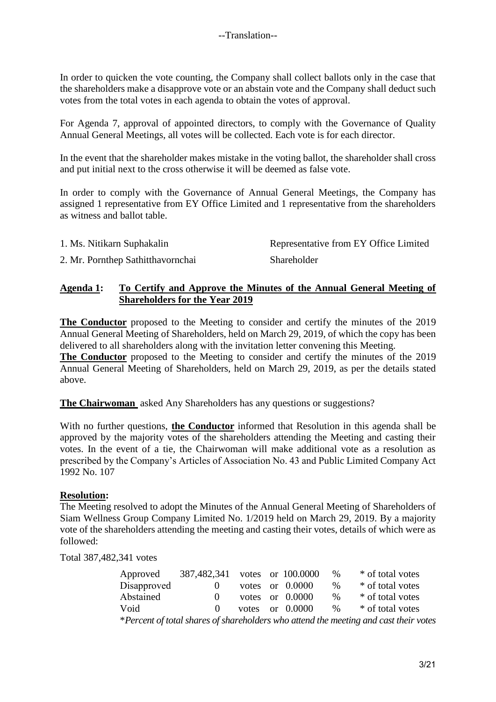In order to quicken the vote counting, the Company shall collect ballots only in the case that the shareholders make a disapprove vote or an abstain vote and the Company shall deduct such votes from the total votes in each agenda to obtain the votes of approval.

For Agenda 7, approval of appointed directors, to comply with the Governance of Quality Annual General Meetings, all votes will be collected. Each vote is for each director.

In the event that the shareholder makes mistake in the voting ballot, the shareholder shall cross and put initial next to the cross otherwise it will be deemed as false vote.

In order to comply with the Governance of Annual General Meetings, the Company has assigned 1 representative from EY Office Limited and 1 representative from the shareholders as witness and ballot table.

| 1. Ms. Nitikarn Suphakalin | Representative from EY Office Limited |
|----------------------------|---------------------------------------|
|                            |                                       |

2. Mr. Pornthep Sathitthavornchai Shareholder

### **Agenda 1: To Certify and Approve the Minutes of the Annual General Meeting of Shareholders for the Year 2019**

**The Conductor** proposed to the Meeting to consider and certify the minutes of the 2019 Annual General Meeting of Shareholders, held on March 29, 2019, of which the copy has been delivered to all shareholders along with the invitation letter convening this Meeting.

**The Conductor** proposed to the Meeting to consider and certify the minutes of the 2019 Annual General Meeting of Shareholders, held on March 29, 2019, as per the details stated above.

**The Chairwoman** asked Any Shareholders has any questions or suggestions?

With no further questions, **the Conductor** informed that Resolution in this agenda shall be approved by the majority votes of the shareholders attending the Meeting and casting their votes. In the event of a tie, the Chairwoman will make additional vote as a resolution as prescribed by the Company's Articles of Association No. 43 and Public Limited Company Act 1992 No. 107

#### **Resolution:**

The Meeting resolved to adopt the Minutes of the Annual General Meeting of Shareholders of Siam Wellness Group Company Limited No. 1/2019 held on March 29, 2019. By a majority vote of the shareholders attending the meeting and casting their votes, details of which were as followed:

Total 387,482,341 votes

| Approved                                                                             | 387,482,341 votes or 100.0000 |  |  |                   | $\%$ | * of total votes |  |
|--------------------------------------------------------------------------------------|-------------------------------|--|--|-------------------|------|------------------|--|
| Disapproved                                                                          | $\theta$                      |  |  | votes or $0.0000$ | $\%$ | * of total votes |  |
| Abstained                                                                            | $\Omega$                      |  |  | votes or $0.0000$ | $\%$ | * of total votes |  |
| Void                                                                                 | $\Omega$                      |  |  | votes or $0.0000$ | $\%$ | * of total votes |  |
| *Percent of total shares of shareholders who attend the meeting and cast their votes |                               |  |  |                   |      |                  |  |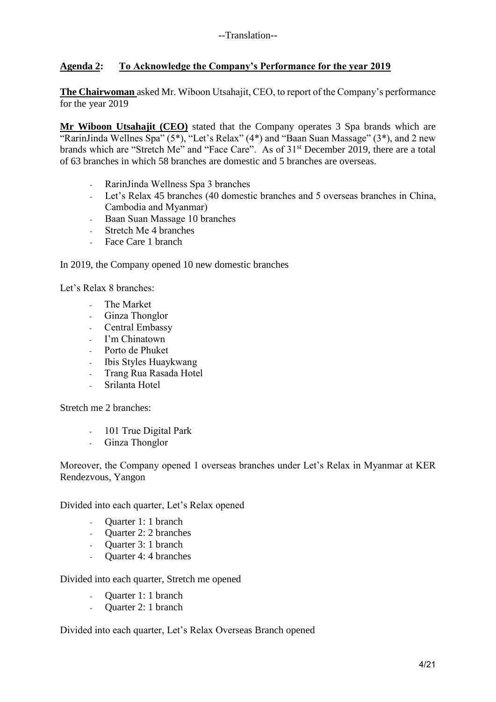### **Agenda 2: To Acknowledge the Company's Performance for the year 2019**

**The Chairwoman** asked Mr. Wiboon Utsahajit, CEO, to report of the Company's performance for the year 2019

**Mr Wiboon Utsahajit (CEO)** stated that the Company operates 3 Spa brands which are "RarinJinda Wellnes Spa"  $(5^*)$ , "Let's Relax"  $(4^*)$  and "Baan Suan Massage"  $(3^*)$ , and 2 new brands which are "Stretch Me" and "Face Care". As of 31<sup>st</sup> December 2019, there are a total of 63 branches in which 58 branches are domestic and 5 branches are overseas.

- RarinJinda Wellness Spa 3 branches
- Let's Relax 45 branches (40 domestic branches and 5 overseas branches in China, Cambodia and Myanmar)
- Baan Suan Massage 10 branches
- Stretch Me 4 branches
- Face Care 1 branch

In 2019, the Company opened 10 new domestic branches

Let's Relax 8 branches:

- The Market
- Ginza Thonglor
- Central Embassy
- I'm Chinatown
- Porto de Phuket
- Ibis Styles Huaykwang
- Trang Rua Rasada Hotel
- Srilanta Hotel

Stretch me 2 branches:

- 101 True Digital Park
- Ginza Thonglor

Moreover, the Company opened 1 overseas branches under Let's Relax in Myanmar at KER Rendezvous, Yangon

Divided into each quarter, Let's Relax opened

- Quarter 1: 1 branch
- Quarter 2: 2 branches
- Quarter 3: 1 branch<br>- Quarter 4: 4 branches
- Quarter 4: 4 branches

Divided into each quarter, Stretch me opened

- Quarter 1: 1 branch
- Ouarter 2: 1 branch

Divided into each quarter, Let's Relax Overseas Branch opened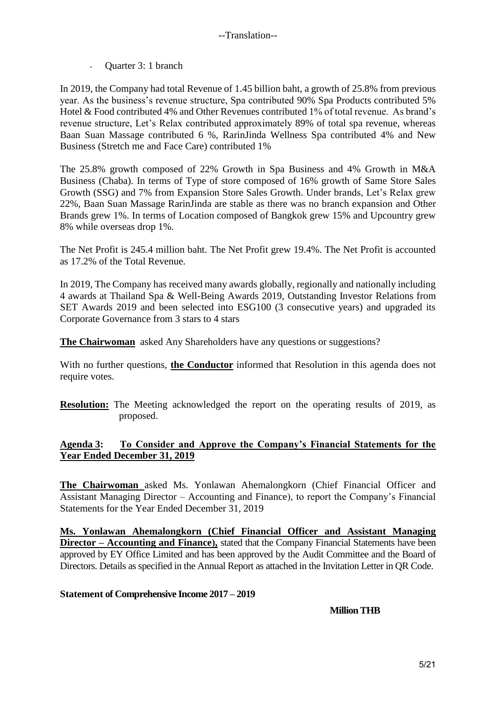- Quarter 3: 1 branch

In 2019, the Company had total Revenue of 1.45 billion baht, a growth of 25.8% from previous year. As the business's revenue structure, Spa contributed 90% Spa Products contributed 5% Hotel & Food contributed 4% and Other Revenues contributed 1% of total revenue. As brand's revenue structure, Let's Relax contributed approximately 89% of total spa revenue, whereas Baan Suan Massage contributed 6 %, RarinJinda Wellness Spa contributed 4% and New Business (Stretch me and Face Care) contributed 1%

The 25.8% growth composed of 22% Growth in Spa Business and 4% Growth in M&A Business (Chaba). In terms of Type of store composed of 16% growth of Same Store Sales Growth (SSG) and 7% from Expansion Store Sales Growth. Under brands, Let's Relax grew 22%, Baan Suan Massage RarinJinda are stable as there was no branch expansion and Other Brands grew 1%. In terms of Location composed of Bangkok grew 15% and Upcountry grew 8% while overseas drop 1%.

The Net Profit is 245.4 million baht. The Net Profit grew 19.4%. The Net Profit is accounted as 17.2% of the Total Revenue.

In 2019, The Company has received many awards globally, regionally and nationally including 4 awards at Thailand Spa & Well-Being Awards 2019, Outstanding Investor Relations from SET Awards 2019 and been selected into ESG100 (3 consecutive years) and upgraded its Corporate Governance from 3 stars to 4 stars

**The Chairwoman** asked Any Shareholders have any questions or suggestions?

With no further questions, **the Conductor** informed that Resolution in this agenda does not require votes.

**Resolution:** The Meeting acknowledged the report on the operating results of 2019, as proposed.

#### **Agenda 3: To Consider and Approve the Company's Financial Statements for the Year Ended December 31, 2019**

**The Chairwoman** asked Ms. Yonlawan Ahemalongkorn (Chief Financial Officer and Assistant Managing Director – Accounting and Finance), to report the Company's Financial Statements for the Year Ended December 31, 2019

**Ms. Yonlawan Ahemalongkorn (Chief Financial Officer and Assistant Managing Director – Accounting and Finance),** stated that the Company Financial Statements have been approved by EY Office Limited and has been approved by the Audit Committee and the Board of Directors. Details as specified in the Annual Report as attached in the Invitation Letter in QR Code.

#### **Statement of Comprehensive Income 2017 – 2019**

**Million THB**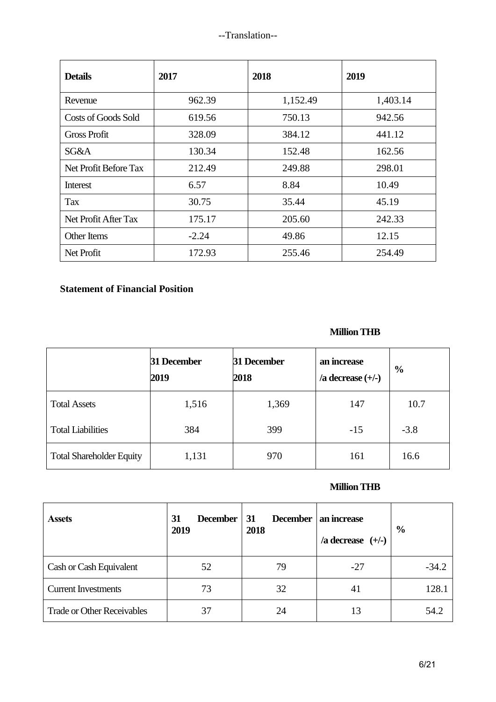| <b>Details</b>             | 2017    | 2018     | 2019     |
|----------------------------|---------|----------|----------|
| Revenue                    | 962.39  | 1,152.49 | 1,403.14 |
| <b>Costs of Goods Sold</b> | 619.56  | 750.13   | 942.56   |
| Gross Profit               | 328.09  | 384.12   | 441.12   |
| SG&A                       | 130.34  | 152.48   | 162.56   |
| Net Profit Before Tax      | 212.49  | 249.88   | 298.01   |
| Interest                   | 6.57    | 8.84     | 10.49    |
| Tax                        | 30.75   | 35.44    | 45.19    |
| Net Profit After Tax       | 175.17  | 205.60   | 242.33   |
| Other Items                | $-2.24$ | 49.86    | 12.15    |
| Net Profit                 | 172.93  | 255.46   | 254.49   |

# **Statement of Financial Position**

# **Million THB**

|                                 | 31 December<br>2019 | 31 December<br>2018 | an increase<br>/a decrease $(+/-)$ | $\frac{6}{9}$ |
|---------------------------------|---------------------|---------------------|------------------------------------|---------------|
| <b>Total Assets</b>             | 1,516               | 1,369               | 147                                | 10.7          |
| <b>Total Liabilities</b>        | 384                 | 399                 | $-15$                              | $-3.8$        |
| <b>Total Shareholder Equity</b> | 1,131               | 970                 | 161                                | 16.6          |

# **Million THB**

| <b>Assets</b>                     | 31<br><b>December</b><br>2019 | 31<br><b>December</b><br>2018 | an increase<br>/a decrease $(+/-)$ | $\frac{6}{6}$ |
|-----------------------------------|-------------------------------|-------------------------------|------------------------------------|---------------|
| Cash or Cash Equivalent           | 52                            | 79                            | $-27$                              | $-34.2$       |
| <b>Current Investments</b>        | 73                            | 32                            | 41                                 | 128.1         |
| <b>Trade or Other Receivables</b> | 37                            | 24                            |                                    | 54.2          |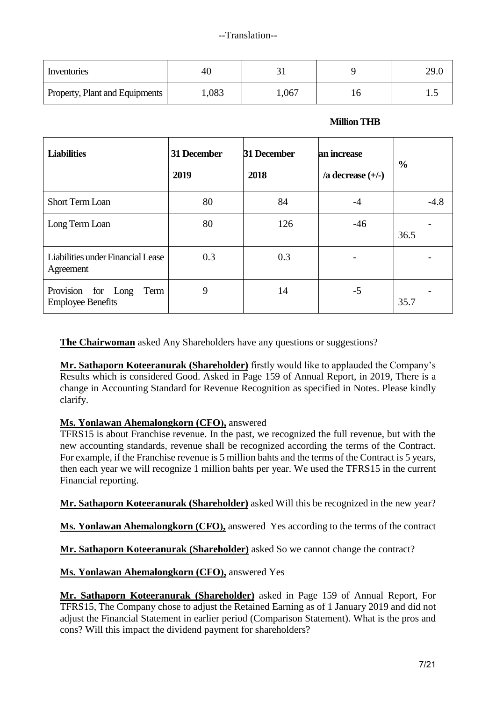| Inventories                    | 4U    |       | 29.0 |
|--------------------------------|-------|-------|------|
| Property, Plant and Equipments | 1,083 | 1,067 | ⊥ .↓ |

#### **Million THB**

| <b>Liabilities</b>                                     | 31 December<br>2019 | 31 December<br>2018 | an increase<br>/a decrease $(+/-)$ | $\frac{0}{0}$ |
|--------------------------------------------------------|---------------------|---------------------|------------------------------------|---------------|
| <b>Short Term Loan</b>                                 | 80                  | 84                  | $-4$                               | $-4.8$        |
| Long Term Loan                                         | 80                  | 126                 | $-46$                              | 36.5          |
| Liabilities under Financial Lease<br>Agreement         | 0.3                 | 0.3                 |                                    |               |
| Provision for Long<br>Term<br><b>Employee Benefits</b> | 9                   | 14                  | $-5$                               | 35.7          |

**The Chairwoman** asked Any Shareholders have any questions or suggestions?

**Mr. Sathaporn Koteeranurak (Shareholder)** firstly would like to applauded the Company's Results which is considered Good. Asked in Page 159 of Annual Report, in 2019, There is a change in Accounting Standard for Revenue Recognition as specified in Notes. Please kindly clarify.

# **Ms. Yonlawan Ahemalongkorn (CFO),** answered

TFRS15 is about Franchise revenue. In the past, we recognized the full revenue, but with the new accounting standards, revenue shall be recognized according the terms of the Contract. For example, if the Franchise revenue is 5 million bahts and the terms of the Contract is 5 years, then each year we will recognize 1 million bahts per year. We used the TFRS15 in the current Financial reporting.

**Mr. Sathaporn Koteeranurak (Shareholder)** asked Will this be recognized in the new year?

**Ms. Yonlawan Ahemalongkorn (CFO),** answered Yes according to the terms of the contract

**Mr. Sathaporn Koteeranurak (Shareholder)** asked So we cannot change the contract?

**Ms. Yonlawan Ahemalongkorn (CFO),** answered Yes

**Mr. Sathaporn Koteeranurak (Shareholder)** asked in Page 159 of Annual Report, For TFRS15, The Company chose to adjust the Retained Earning as of 1 January 2019 and did not adjust the Financial Statement in earlier period (Comparison Statement). What is the pros and cons? Will this impact the dividend payment for shareholders?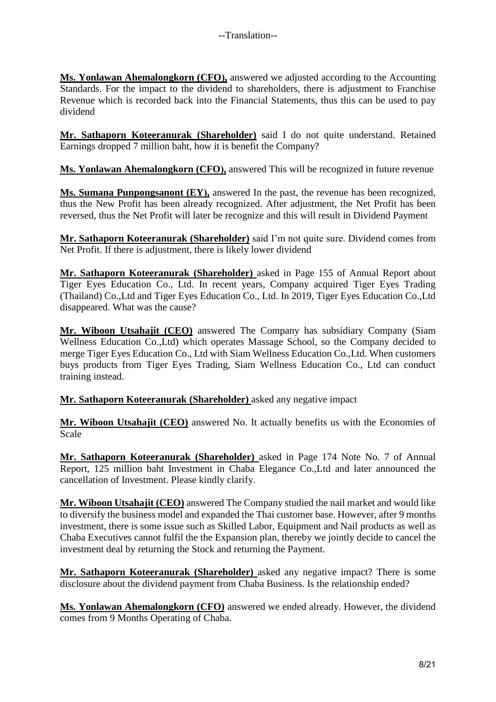**Ms. Yonlawan Ahemalongkorn (CFO),** answered we adjusted according to the Accounting Standards. For the impact to the dividend to shareholders, there is adjustment to Franchise Revenue which is recorded back into the Financial Statements, thus this can be used to pay dividend

**Mr. Sathaporn Koteeranurak (Shareholder)** said I do not quite understand. Retained Earnings dropped 7 million baht, how it is benefit the Company?

**Ms. Yonlawan Ahemalongkorn (CFO),** answered This will be recognized in future revenue

**Ms. Sumana Punpongsanont (EY),** answered In the past, the revenue has been recognized, thus the New Profit has been already recognized. After adjustment, the Net Profit has been reversed, thus the Net Profit will later be recognize and this will result in Dividend Payment

**Mr. Sathaporn Koteeranurak (Shareholder)** said I'm not quite sure. Dividend comes from Net Profit. If there is adjustment, there is likely lower dividend

**Mr. Sathaporn Koteeranurak (Shareholder)** asked in Page 155 of Annual Report about Tiger Eyes Education Co., Ltd. In recent years, Company acquired Tiger Eyes Trading (Thailand) Co.,Ltd and Tiger Eyes Education Co., Ltd. In 2019, Tiger Eyes Education Co.,Ltd disappeared. What was the cause?

**Mr. Wiboon Utsahajit (CEO)** answered The Company has subsidiary Company (Siam Wellness Education Co.,Ltd) which operates Massage School, so the Company decided to merge Tiger Eyes Education Co., Ltd with Siam Wellness Education Co.,Ltd. When customers buys products from Tiger Eyes Trading, Siam Wellness Education Co., Ltd can conduct training instead.

**Mr. Sathaporn Koteeranurak (Shareholder)** asked any negative impact

**Mr. Wiboon Utsahajit (CEO)** answered No. It actually benefits us with the Economies of Scale

**Mr. Sathaporn Koteeranurak (Shareholder)** asked in Page 174 Note No. 7 of Annual Report, 125 million baht Investment in Chaba Elegance Co.,Ltd and later announced the cancellation of Investment. Please kindly clarify.

**Mr. Wiboon Utsahajit (CEO)** answered The Company studied the nail market and would like to diversify the business model and expanded the Thai customer base. However, after 9 months investment, there is some issue such as Skilled Labor, Equipment and Nail products as well as Chaba Executives cannot fulfil the the Expansion plan, thereby we jointly decide to cancel the investment deal by returning the Stock and returning the Payment.

**Mr. Sathaporn Koteeranurak (Shareholder)** asked any negative impact? There is some disclosure about the dividend payment from Chaba Business. Is the relationship ended?

**Ms. Yonlawan Ahemalongkorn (CFO)** answered we ended already. However, the dividend comes from 9 Months Operating of Chaba.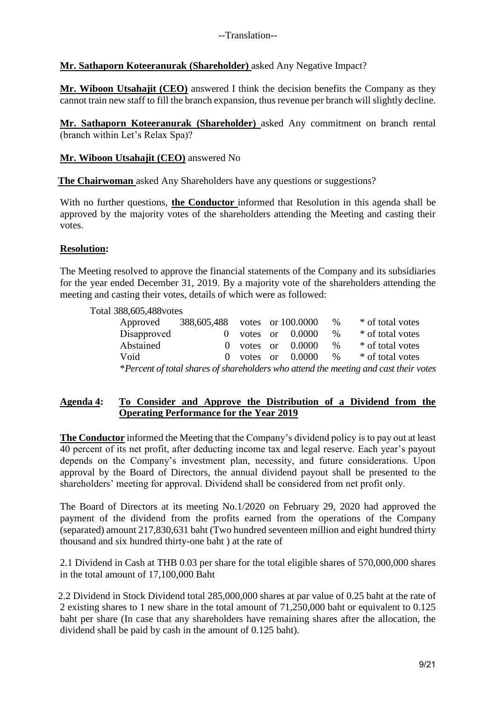## **Mr. Sathaporn Koteeranurak (Shareholder)** asked Any Negative Impact?

**Mr. Wiboon Utsahajit (CEO)** answered I think the decision benefits the Company as they cannot train new staff to fill the branch expansion, thus revenue per branch will slightly decline.

**Mr. Sathaporn Koteeranurak (Shareholder)** asked Any commitment on branch rental (branch within Let's Relax Spa)?

#### **Mr. Wiboon Utsahajit (CEO)** answered No

**The Chairwoman** asked Any Shareholders have any questions or suggestions?

With no further questions, **the Conductor** informed that Resolution in this agenda shall be approved by the majority votes of the shareholders attending the Meeting and casting their votes.

#### **Resolution:**

The Meeting resolved to approve the financial statements of the Company and its subsidiaries for the year ended December 31, 2019. By a majority vote of the shareholders attending the meeting and casting their votes, details of which were as followed:

Total 388,605,488votes

| Approved    | 388,605,488 votes or 100.0000 |  |                       | $\%$      | * of total votes                                                                     |
|-------------|-------------------------------|--|-----------------------|-----------|--------------------------------------------------------------------------------------|
| Disapproved |                               |  | votes or $0.0000$     | $\%$      | * of total votes                                                                     |
| Abstained   |                               |  | $0$ votes or $0.0000$ | $\%$      | * of total votes                                                                     |
| Void        |                               |  | $0$ votes or $0.0000$ | $\cdot$ % | * of total votes                                                                     |
|             |                               |  |                       |           | *Percent of total shares of shareholders who attend the meeting and cast their votes |

#### **Agenda 4: To Consider and Approve the Distribution of a Dividend from the Operating Performance for the Year 2019**

**The Conductor** informed the Meeting that the Company's dividend policy is to pay out at least 40 percent of its net profit, after deducting income tax and legal reserve. Each year's payout depends on the Company's investment plan, necessity, and future considerations. Upon approval by the Board of Directors, the annual dividend payout shall be presented to the shareholders' meeting for approval. Dividend shall be considered from net profit only.

The Board of Directors at its meeting No.1/2020 on February 29, 2020 had approved the payment of the dividend from the profits earned from the operations of the Company (separated) amount 217,830,631 baht (Two hundred seventeen million and eight hundred thirty thousand and six hundred thirty-one baht ) at the rate of

2.1 Dividend in Cash at THB 0.03 per share for the total eligible shares of 570,000,000 shares in the total amount of 17,100,000 Baht

2.2 Dividend in Stock Dividend total 285,000,000 shares at par value of 0.25 baht at the rate of 2 existing shares to 1 new share in the total amount of 71,250,000 baht or equivalent to 0.125 baht per share (In case that any shareholders have remaining shares after the allocation, the dividend shall be paid by cash in the amount of 0.125 baht).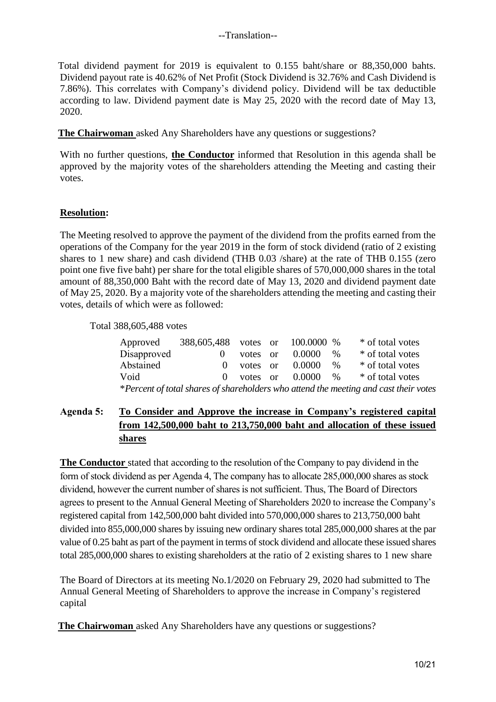Total dividend payment for 2019 is equivalent to 0.155 baht/share or 88,350,000 bahts. Dividend payout rate is 40.62% of Net Profit (Stock Dividend is 32.76% and Cash Dividend is 7.86%). This correlates with Company's dividend policy. Dividend will be tax deductible according to law. Dividend payment date is May 25, 2020 with the record date of May 13, 2020.

**The Chairwoman** asked Any Shareholders have any questions or suggestions?

With no further questions, **the Conductor** informed that Resolution in this agenda shall be approved by the majority votes of the shareholders attending the Meeting and casting their votes.

# **Resolution:**

The Meeting resolved to approve the payment of the dividend from the profits earned from the operations of the Company for the year 2019 in the form of stock dividend (ratio of 2 existing shares to 1 new share) and cash dividend (THB 0.03 /share) at the rate of THB 0.155 (zero point one five five baht) per share for the total eligible shares of 570,000,000 shares in the total amount of 88,350,000 Baht with the record date of May 13, 2020 and dividend payment date of May 25, 2020. By a majority vote of the shareholders attending the meeting and casting their votes, details of which were as followed:

Total 388,605,488 votes

| Approved                                                                             | 388,605,488 votes or 100.0000 % |          |  |                     |      | * of total votes |
|--------------------------------------------------------------------------------------|---------------------------------|----------|--|---------------------|------|------------------|
| Disapproved                                                                          | $\Omega$                        | votes or |  | 0.0000              | $\%$ | * of total votes |
| Abstained                                                                            | $\mathbf{O}$                    | votes or |  | 0.0000              | $\%$ | * of total votes |
| Void                                                                                 | $\Omega$                        |          |  | votes or $0.0000\%$ |      | * of total votes |
| *Percent of total shares of shareholders who attend the meeting and cast their votes |                                 |          |  |                     |      |                  |

# **Agenda 5: To Consider and Approve the increase in Company's registered capital from 142,500,000 baht to 213,750,000 baht and allocation of these issued shares**

**The Conductor** stated that according to the resolution of the Company to pay dividend in the form of stock dividend as per Agenda 4, The company has to allocate 285,000,000 shares as stock dividend, however the current number of shares is not sufficient. Thus, The Board of Directors agrees to present to the Annual General Meeting of Shareholders 2020 to increase the Company's registered capital from 142,500,000 baht divided into 570,000,000 shares to 213,750,000 baht divided into 855,000,000 shares by issuing new ordinary shares total 285,000,000 shares at the par value of 0.25 baht as part of the payment in terms of stock dividend and allocate these issued shares total 285,000,000 shares to existing shareholders at the ratio of 2 existing shares to 1 new share

The Board of Directors at its meeting No.1/2020 on February 29, 2020 had submitted to The Annual General Meeting of Shareholders to approve the increase in Company's registered capital

**The Chairwoman** asked Any Shareholders have any questions or suggestions?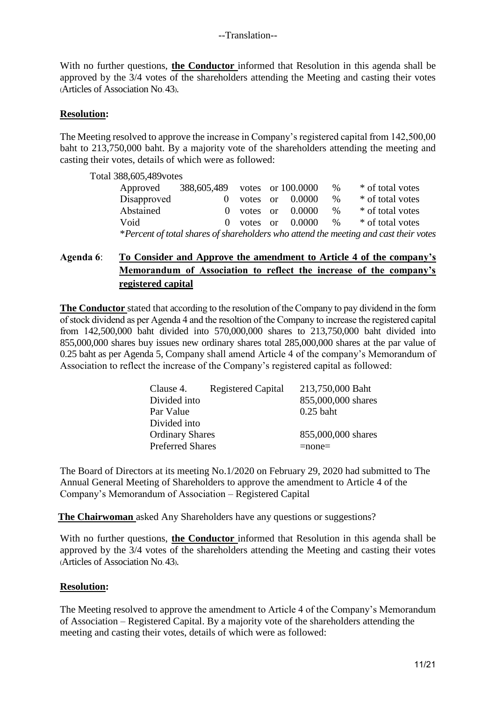With no further questions, **the Conductor** informed that Resolution in this agenda shall be approved by the 3/4 votes of the shareholders attending the Meeting and casting their votes (Articles of Association No. 43).

### **Resolution:**

The Meeting resolved to approve the increase in Company's registered capital from 142,500,00 baht to 213,750,000 baht. By a majority vote of the shareholders attending the meeting and casting their votes, details of which were as followed:

Total 388,605,489votes

| Approved                                                                             | 388,605,489 votes or 100.0000 |  |  |                       | $\%$ | * of total votes |
|--------------------------------------------------------------------------------------|-------------------------------|--|--|-----------------------|------|------------------|
| Disapproved                                                                          |                               |  |  | votes or $0.0000$     | $\%$ | * of total votes |
| Abstained                                                                            |                               |  |  | $0$ votes or $0.0000$ | $\%$ | * of total votes |
| Void                                                                                 |                               |  |  | $0$ votes or $0.0000$ | $\%$ | * of total votes |
| *Percent of total shares of shareholders who attend the meeting and cast their votes |                               |  |  |                       |      |                  |

# **Agenda 6**: **To Consider and Approve the amendment to Article 4 of the company's Memorandum of Association to reflect the increase of the company's registered capital**

**The Conductor** stated that according to the resolution of the Company to pay dividend in the form of stock dividend as per Agenda 4 and the resoltion of the Company to increase the registered capital from 142,500,000 baht divided into 570,000,000 shares to 213,750,000 baht divided into 855,000,000 shares buy issues new ordinary shares total 285,000,000 shares at the par value of 0.25 baht as per Agenda 5, Company shall amend Article 4 of the company's Memorandum of Association to reflect the increase of the Company's registered capital as followed:

| Clause 4.               | <b>Registered Capital</b> | 213,750,000 Baht   |
|-------------------------|---------------------------|--------------------|
| Divided into            |                           | 855,000,000 shares |
| Par Value               |                           | $0.25$ baht        |
| Divided into            |                           |                    |
| <b>Ordinary Shares</b>  |                           | 855,000,000 shares |
| <b>Preferred Shares</b> |                           | $=$ none $=$       |

The Board of Directors at its meeting No.1/2020 on February 29, 2020 had submitted to The Annual General Meeting of Shareholders to approve the amendment to Article 4 of the Company's Memorandum of Association – Registered Capital

**The Chairwoman** asked Any Shareholders have any questions or suggestions?

With no further questions, **the Conductor** informed that Resolution in this agenda shall be approved by the 3/4 votes of the shareholders attending the Meeting and casting their votes (Articles of Association No. 43).

#### **Resolution:**

The Meeting resolved to approve the amendment to Article 4 of the Company's Memorandum of Association – Registered Capital. By a majority vote of the shareholders attending the meeting and casting their votes, details of which were as followed: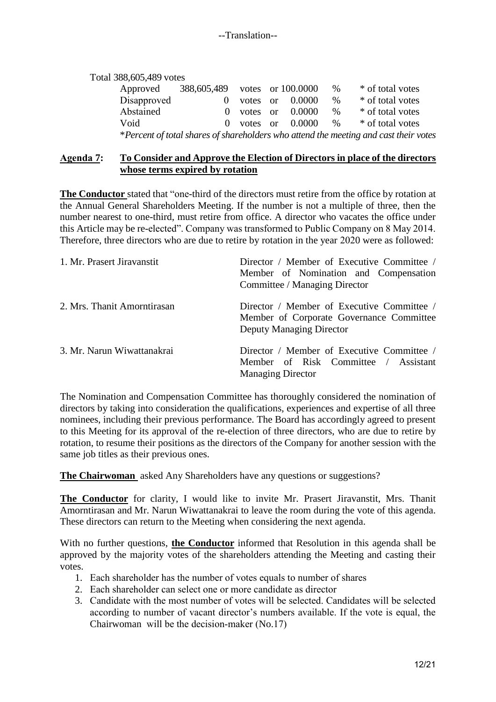| Total 388,605,489 votes<br>Approved | 388,605,489 votes or 100.0000 |          |        | $\%$ | * of total votes                                                                     |
|-------------------------------------|-------------------------------|----------|--------|------|--------------------------------------------------------------------------------------|
| Disapproved                         |                               | votes or | 0.0000 | $\%$ | * of total votes                                                                     |
| Abstained                           | $\Omega$                      | votes or | 0.0000 | $\%$ | * of total votes                                                                     |
| Void                                | $\theta$                      | votes or | 0.0000 | $\%$ | * of total votes                                                                     |
|                                     |                               |          |        |      | *Percent of total shares of shareholders who attend the meeting and cast their votes |

#### **Agenda 7: To Consider and Approve the Election of Directors in place of the directors whose terms expired by rotation**

**The Conductor** stated that "one-third of the directors must retire from the office by rotation at the Annual General Shareholders Meeting. If the number is not a multiple of three, then the number nearest to one-third, must retire from office. A director who vacates the office under this Article may be re-elected". Company was transformed to Public Company on 8 May 2014. Therefore, three directors who are due to retire by rotation in the year 2020 were as followed:

| 1. Mr. Prasert Jiravanstit  | Director / Member of Executive Committee /<br>Member of Nomination and Compensation<br>Committee / Managing Director |
|-----------------------------|----------------------------------------------------------------------------------------------------------------------|
| 2. Mrs. Thanit Amorntirasan | Director / Member of Executive Committee /<br>Member of Corporate Governance Committee<br>Deputy Managing Director   |
| 3. Mr. Narun Wiwattanakrai  | Director / Member of Executive Committee /<br>Member of Risk Committee / Assistant<br><b>Managing Director</b>       |

The Nomination and Compensation Committee has thoroughly considered the nomination of directors by taking into consideration the qualifications, experiences and expertise of all three nominees, including their previous performance. The Board has accordingly agreed to present to this Meeting for its approval of the re-election of three directors, who are due to retire by rotation, to resume their positions as the directors of the Company for another session with the same job titles as their previous ones.

**The Chairwoman** asked Any Shareholders have any questions or suggestions?

**The Conductor** for clarity, I would like to invite Mr. Prasert Jiravanstit, Mrs. Thanit Amorntirasan and Mr. Narun Wiwattanakrai to leave the room during the vote of this agenda. These directors can return to the Meeting when considering the next agenda.

With no further questions, **the Conductor** informed that Resolution in this agenda shall be approved by the majority votes of the shareholders attending the Meeting and casting their votes.

- 1. Each shareholder has the number of votes equals to number of shares
- 2. Each shareholder can select one or more candidate as director
- 3. Candidate with the most number of votes will be selected. Candidates will be selected according to number of vacant director's numbers available. If the vote is equal, the Chairwoman will be the decision-maker (No.17)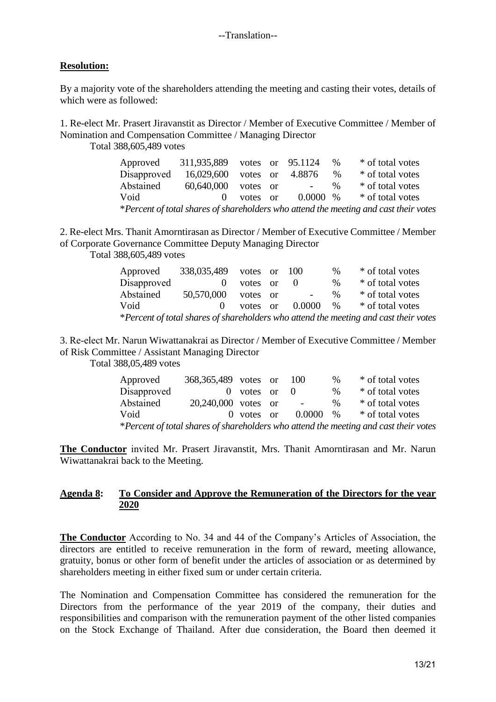## **Resolution:**

By a majority vote of the shareholders attending the meeting and casting their votes, details of which were as followed:

1. Re-elect Mr. Prasert Jiravanstit as Director / Member of Executive Committee / Member of Nomination and Compensation Committee / Managing Director

Total 388,605,489 votes

Approved 311,935,889 votes or 95.1124 % \* of total votes Disapproved 16,029,600 votes or 4.8876 % \* of total votes Abstained 60,640,000 votes or - % \* of total votes Void 0 votes or 0.0000 % \* of total votes \**Percent of total shares of shareholders who attend the meeting and cast their votes*

2. Re-elect Mrs. Thanit Amorntirasan as Director / Member of Executive Committee / Member of Corporate Governance Committee Deputy Managing Director

Total 388,605,489 votes

| Approved                                                                             | 338,035,489 votes or 100 |          |          |                | $\%$ | * of total votes |
|--------------------------------------------------------------------------------------|--------------------------|----------|----------|----------------|------|------------------|
| Disapproved                                                                          | $\theta$                 | votes or |          |                | $\%$ | * of total votes |
| Abstained                                                                            | 50,570,000               | votes    | $\alpha$ | $\overline{a}$ | $\%$ | * of total votes |
| Void                                                                                 |                          | votes or |          | 0.0000         | $\%$ | * of total votes |
| *Percent of total shares of shareholders who attend the meeting and cast their votes |                          |          |          |                |      |                  |

3. Re-elect Mr. Narun Wiwattanakrai as Director / Member of Executive Committee / Member of Risk Committee / Assistant Managing Director

Total 388,05,489 votes

| Approved                                                                             | 368, 365, 489 votes or |                  |  | 100         | $\%$ | * of total votes |
|--------------------------------------------------------------------------------------|------------------------|------------------|--|-------------|------|------------------|
| Disapproved                                                                          |                        | $0$ votes or $0$ |  |             | $\%$ | * of total votes |
| Abstained                                                                            | 20,240,000 votes or    |                  |  | $\sim$      | $\%$ | * of total votes |
| Void                                                                                 |                        | $0$ votes or     |  | $0.0000 \%$ |      | * of total votes |
| *Percent of total shares of shareholders who attend the meeting and cast their votes |                        |                  |  |             |      |                  |

**The Conductor** invited Mr. Prasert Jiravanstit, Mrs. Thanit Amorntirasan and Mr. Narun Wiwattanakrai back to the Meeting.

#### **Agenda 8: To Consider and Approve the Remuneration of the Directors for the year 2020**

**The Conductor** According to No. 34 and 44 of the Company's Articles of Association, the directors are entitled to receive remuneration in the form of reward, meeting allowance, gratuity, bonus or other form of benefit under the articles of association or as determined by shareholders meeting in either fixed sum or under certain criteria.

The Nomination and Compensation Committee has considered the remuneration for the Directors from the performance of the year 2019 of the company, their duties and responsibilities and comparison with the remuneration payment of the other listed companies on the Stock Exchange of Thailand. After due consideration, the Board then deemed it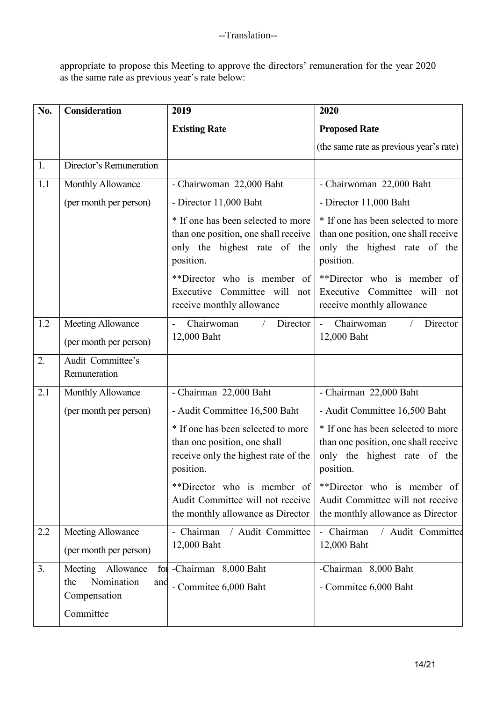appropriate to propose this Meeting to approve the directors' remuneration for the year 2020 as the same rate as previous year's rate below:

| No. | <b>Consideration</b>                                                       | 2019                                                                                                                    | 2020                                                                                                                    |
|-----|----------------------------------------------------------------------------|-------------------------------------------------------------------------------------------------------------------------|-------------------------------------------------------------------------------------------------------------------------|
|     |                                                                            | <b>Existing Rate</b>                                                                                                    | <b>Proposed Rate</b>                                                                                                    |
|     |                                                                            |                                                                                                                         | (the same rate as previous year's rate)                                                                                 |
| 1.  | Director's Remuneration                                                    |                                                                                                                         |                                                                                                                         |
| 1.1 | Monthly Allowance                                                          | - Chairwoman 22,000 Baht                                                                                                | - Chairwoman 22,000 Baht                                                                                                |
|     | (per month per person)                                                     | - Director 11,000 Baht                                                                                                  | - Director 11,000 Baht                                                                                                  |
|     |                                                                            | * If one has been selected to more<br>than one position, one shall receive<br>only the highest rate of the<br>position. | * If one has been selected to more<br>than one position, one shall receive<br>only the highest rate of the<br>position. |
|     |                                                                            | **Director who is member of<br>Executive Committee will not<br>receive monthly allowance                                | **Director who is member of<br>Executive Committee will not<br>receive monthly allowance                                |
| 1.2 | Meeting Allowance                                                          | Chairwoman<br>Director                                                                                                  | Chairwoman<br>Director<br>$\Delta \phi$                                                                                 |
|     | (per month per person)                                                     | 12,000 Baht                                                                                                             | 12,000 Baht                                                                                                             |
| 2.  | Audit Committee's<br>Remuneration                                          |                                                                                                                         |                                                                                                                         |
| 2.1 | Monthly Allowance                                                          | - Chairman 22,000 Baht                                                                                                  | - Chairman 22,000 Baht                                                                                                  |
|     | (per month per person)                                                     | - Audit Committee 16,500 Baht                                                                                           | - Audit Committee 16,500 Baht                                                                                           |
|     |                                                                            | * If one has been selected to more<br>than one position, one shall<br>receive only the highest rate of the<br>position. | * If one has been selected to more<br>than one position, one shall receive<br>only the highest rate of the<br>position. |
|     |                                                                            | **Director who is member of<br>Audit Committee will not receive<br>the monthly allowance as Director                    | **Director who is member of<br>Audit Committee will not receive<br>the monthly allowance as Director                    |
| 2.2 | Meeting Allowance                                                          | / Audit Committee<br>- Chairman                                                                                         | - Chairman<br>/ Audit Committee                                                                                         |
|     | (per month per person)                                                     | 12,000 Baht                                                                                                             | 12,000 Baht                                                                                                             |
| 3.  | Meeting Allowance<br>Nomination<br>the<br>and<br>Compensation<br>Committee | for -Chairman 8,000 Baht<br>- Commitee 6,000 Baht                                                                       | -Chairman 8,000 Baht<br>- Commitee 6,000 Baht                                                                           |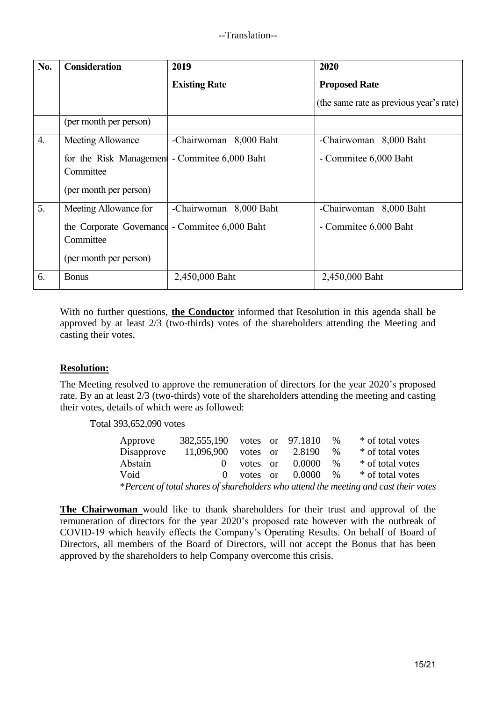| No.              | <b>Consideration</b>                                                                  | 2019                   | 2020                                    |
|------------------|---------------------------------------------------------------------------------------|------------------------|-----------------------------------------|
|                  |                                                                                       | <b>Existing Rate</b>   | <b>Proposed Rate</b>                    |
|                  |                                                                                       |                        | (the same rate as previous year's rate) |
|                  | (per month per person)                                                                |                        |                                         |
| $\overline{4}$ . | <b>Meeting Allowance</b>                                                              | -Chairwoman 8,000 Baht | -Chairwoman 8,000 Baht                  |
|                  | for the Risk Management - Committee 6,000 Baht<br>Committee                           |                        | - Commitee 6,000 Baht                   |
|                  | (per month per person)                                                                |                        |                                         |
| 5 <sub>1</sub>   | Meeting Allowance for                                                                 | -Chairwoman 8,000 Baht | -Chairwoman 8,000 Baht                  |
|                  | the Corporate Governance - Commitee 6,000 Baht<br>Committee<br>(per month per person) |                        | - Commitee 6,000 Baht                   |
| 6.               | <b>Bonus</b>                                                                          | 2,450,000 Baht         | 2,450,000 Baht                          |

With no further questions, **the Conductor** informed that Resolution in this agenda shall be approved by at least 2/3 (two-thirds) votes of the shareholders attending the Meeting and casting their votes.

#### **Resolution:**

The Meeting resolved to approve the remuneration of directors for the year 2020's proposed rate. By an at least 2/3 (two-thirds) vote of the shareholders attending the meeting and casting their votes, details of which were as followed:

Total 393,652,090 votes

| Approve                                                                              | 382,555,190 votes or 97.1810 |              |  |        | $\%$          | * of total votes |
|--------------------------------------------------------------------------------------|------------------------------|--------------|--|--------|---------------|------------------|
| Disapprove                                                                           | 11,096,900                   | votes or     |  | 2.8190 | $\frac{0}{0}$ | * of total votes |
| Abstain                                                                              | $\mathbf{0}$                 | votes or     |  | 0.0000 | $\%$          | * of total votes |
| Void                                                                                 |                              | $0$ votes or |  | 0.0000 | $\%$          | * of total votes |
| *Percent of total shares of shareholders who attend the meeting and cast their votes |                              |              |  |        |               |                  |

**The Chairwoman** would like to thank shareholders for their trust and approval of the remuneration of directors for the year 2020's proposed rate however with the outbreak of COVID-19 which heavily effects the Company's Operating Results. On behalf of Board of Directors, all members of the Board of Directors, will not accept the Bonus that has been approved by the shareholders to help Company overcome this crisis.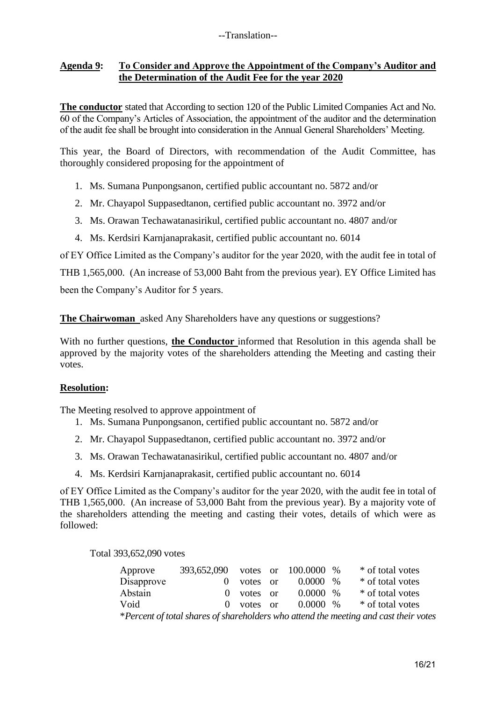#### **Agenda 9: To Consider and Approve the Appointment of the Company's Auditor and the Determination of the Audit Fee for the year 2020**

**The conductor** stated that According to section 120 of the Public Limited Companies Act and No. 60 of the Company's Articles of Association, the appointment of the auditor and the determination of the audit fee shall be brought into consideration in the Annual General Shareholders' Meeting.

This year, the Board of Directors, with recommendation of the Audit Committee, has thoroughly considered proposing for the appointment of

- 1. Ms. Sumana Punpongsanon, certified public accountant no. 5872 and/or
- 2. Mr. Chayapol Suppasedtanon, certified public accountant no. 3972 and/or
- 3. Ms. Orawan Techawatanasirikul, certified public accountant no. 4807 and/or
- 4. Ms. Kerdsiri Karnjanaprakasit, certified public accountant no. 6014

of EY Office Limited as the Company's auditor for the year 2020, with the audit fee in total of THB 1,565,000. (An increase of 53,000 Baht from the previous year). EY Office Limited has

been the Company's Auditor for 5 years.

**The Chairwoman** asked Any Shareholders have any questions or suggestions?

With no further questions, **the Conductor** informed that Resolution in this agenda shall be approved by the majority votes of the shareholders attending the Meeting and casting their votes.

#### **Resolution:**

The Meeting resolved to approve appointment of

- 1. Ms. Sumana Punpongsanon, certified public accountant no. 5872 and/or
- 2. Mr. Chayapol Suppasedtanon, certified public accountant no. 3972 and/or
- 3. Ms. Orawan Techawatanasirikul, certified public accountant no. 4807 and/or
- 4. Ms. Kerdsiri Karnjanaprakasit, certified public accountant no. 6014

of EY Office Limited as the Company's auditor for the year 2020, with the audit fee in total of THB 1,565,000. (An increase of 53,000 Baht from the previous year). By a majority vote of the shareholders attending the meeting and casting their votes, details of which were as followed:

Total 393,652,090 votes

| Approve                                                                              | 393,652,090 votes or 100.0000 % |          |  |              |  | * of total votes |
|--------------------------------------------------------------------------------------|---------------------------------|----------|--|--------------|--|------------------|
| Disapprove                                                                           |                                 | votes or |  | $0.0000 - %$ |  | * of total votes |
| Abstain                                                                              | $\mathbf{O}$                    | votes or |  | $0.0000 \%$  |  | * of total votes |
| Void                                                                                 | $\Omega$                        | votes or |  | $0.0000\%$   |  | * of total votes |
| *Percent of total shares of shareholders who attend the meeting and cast their votes |                                 |          |  |              |  |                  |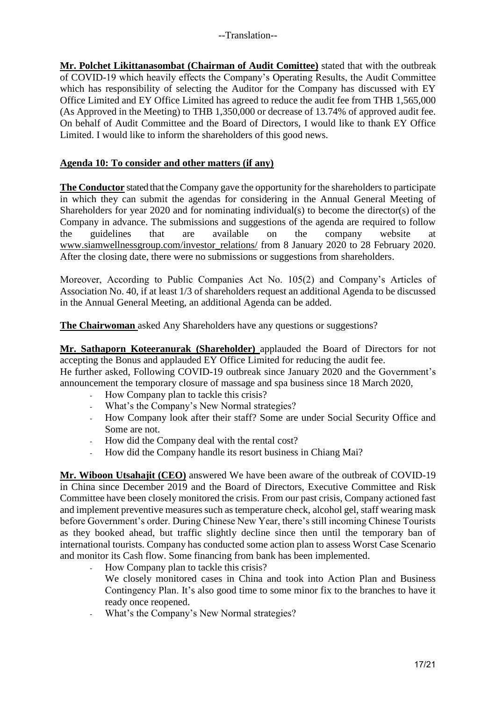**Mr. Polchet Likittanasombat (Chairman of Audit Comittee)** stated that with the outbreak of COVID-19 which heavily effects the Company's Operating Results, the Audit Committee which has responsibility of selecting the Auditor for the Company has discussed with EY Office Limited and EY Office Limited has agreed to reduce the audit fee from THB 1,565,000 (As Approved in the Meeting) to THB 1,350,000 or decrease of 13.74% of approved audit fee. On behalf of Audit Committee and the Board of Directors, I would like to thank EY Office Limited. I would like to inform the shareholders of this good news.

### **Agenda 10: To consider and other matters (if any)**

**The Conductor** stated that the Company gave the opportunity for the shareholders to participate in which they can submit the agendas for considering in the Annual General Meeting of Shareholders for year 2020 and for nominating individual(s) to become the director(s) of the Company in advance. The submissions and suggestions of the agenda are required to follow the guidelines that are available on the company website at [www.siamwellnessgroup.com/investor\\_relations/](http://www.siamwellnessgroup.com/investor_relations/) from 8 January 2020 to 28 February 2020. After the closing date, there were no submissions or suggestions from shareholders.

Moreover, According to Public Companies Act No. 105(2) and Company's Articles of Association No. 40, if at least 1/3 of shareholders request an additional Agenda to be discussed in the Annual General Meeting, an additional Agenda can be added.

**The Chairwoman** asked Any Shareholders have any questions or suggestions?

**Mr. Sathaporn Koteeranurak (Shareholder)** applauded the Board of Directors for not accepting the Bonus and applauded EY Office Limited for reducing the audit fee.

He further asked, Following COVID-19 outbreak since January 2020 and the Government's announcement the temporary closure of massage and spa business since 18 March 2020,

- How Company plan to tackle this crisis?
- What's the Company's New Normal strategies?
- How Company look after their staff? Some are under Social Security Office and Some are not.
- How did the Company deal with the rental cost?
- How did the Company handle its resort business in Chiang Mai?

**Mr. Wiboon Utsahajit (CEO)** answered We have been aware of the outbreak of COVID-19 in China since December 2019 and the Board of Directors, Executive Committee and Risk Committee have been closely monitored the crisis. From our past crisis, Company actioned fast and implement preventive measures such as temperature check, alcohol gel, staff wearing mask before Government's order. During Chinese New Year, there's still incoming Chinese Tourists as they booked ahead, but traffic slightly decline since then until the temporary ban of international tourists. Company has conducted some action plan to assess Worst Case Scenario and monitor its Cash flow. Some financing from bank has been implemented.

- How Company plan to tackle this crisis?
	- We closely monitored cases in China and took into Action Plan and Business Contingency Plan. It's also good time to some minor fix to the branches to have it ready once reopened.
- What's the Company's New Normal strategies?